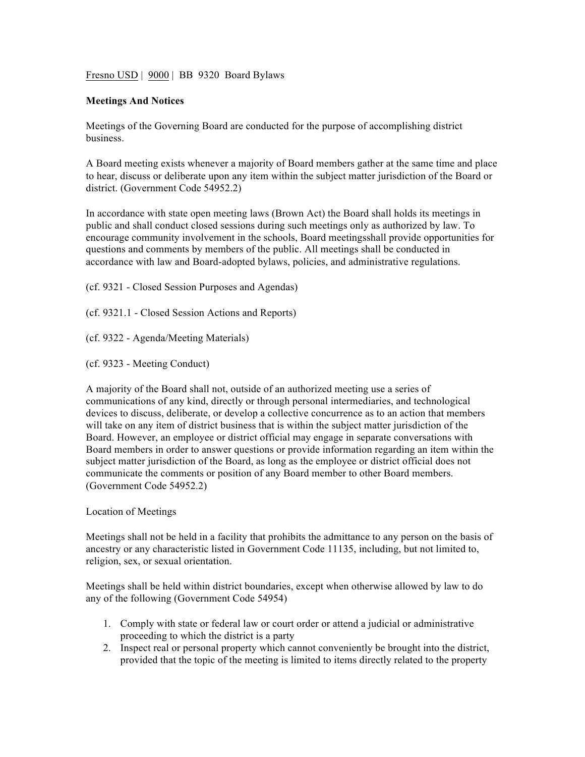Fresno USD | 9000 | BB 9320 Board Bylaws

#### **Meetings And Notices**

Meetings of the Governing Board are conducted for the purpose of accomplishing district business.

A Board meeting exists whenever a majority of Board members gather at the same time and place to hear, discuss or deliberate upon any item within the subject matter jurisdiction of the Board or district. (Government Code 54952.2)

In accordance with state open meeting laws (Brown Act) the Board shall holds its meetings in public and shall conduct closed sessions during such meetings only as authorized by law. To encourage community involvement in the schools, Board meetingsshall provide opportunities for questions and comments by members of the public. All meetings shall be conducted in accordance with law and Board-adopted bylaws, policies, and administrative regulations.

- (cf. 9321 Closed Session Purposes and Agendas)
- (cf. 9321.1 Closed Session Actions and Reports)
- (cf. 9322 Agenda/Meeting Materials)
- (cf. 9323 Meeting Conduct)

A majority of the Board shall not, outside of an authorized meeting use a series of communications of any kind, directly or through personal intermediaries, and technological devices to discuss, deliberate, or develop a collective concurrence as to an action that members will take on any item of district business that is within the subject matter jurisdiction of the Board. However, an employee or district official may engage in separate conversations with Board members in order to answer questions or provide information regarding an item within the subject matter jurisdiction of the Board, as long as the employee or district official does not communicate the comments or position of any Board member to other Board members. (Government Code 54952.2)

#### Location of Meetings

Meetings shall not be held in a facility that prohibits the admittance to any person on the basis of ancestry or any characteristic listed in Government Code 11135, including, but not limited to, religion, sex, or sexual orientation.

Meetings shall be held within district boundaries, except when otherwise allowed by law to do any of the following (Government Code 54954)

- 1. Comply with state or federal law or court order or attend a judicial or administrative proceeding to which the district is a party
- 2. Inspect real or personal property which cannot conveniently be brought into the district, provided that the topic of the meeting is limited to items directly related to the property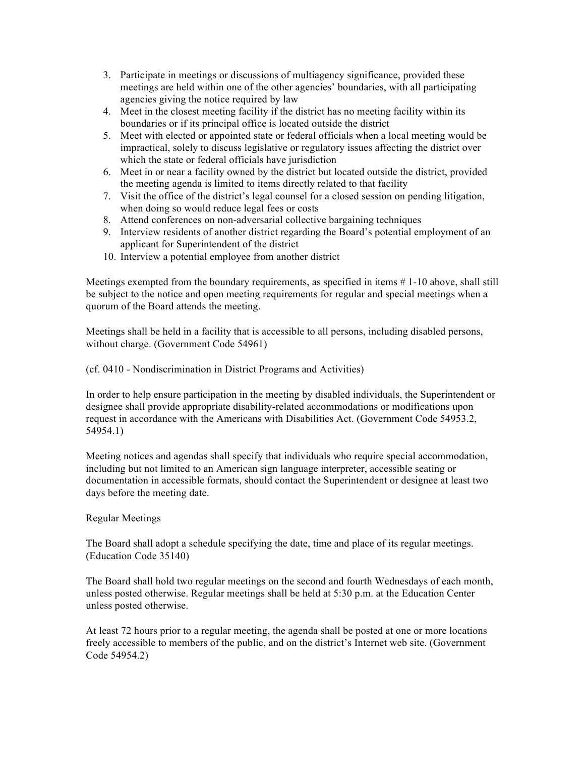- 3. Participate in meetings or discussions of multiagency significance, provided these meetings are held within one of the other agencies' boundaries, with all participating agencies giving the notice required by law
- 4. Meet in the closest meeting facility if the district has no meeting facility within its boundaries or if its principal office is located outside the district
- 5. Meet with elected or appointed state or federal officials when a local meeting would be impractical, solely to discuss legislative or regulatory issues affecting the district over which the state or federal officials have jurisdiction
- 6. Meet in or near a facility owned by the district but located outside the district, provided the meeting agenda is limited to items directly related to that facility
- 7. Visit the office of the district's legal counsel for a closed session on pending litigation, when doing so would reduce legal fees or costs
- 8. Attend conferences on non-adversarial collective bargaining techniques
- 9. Interview residents of another district regarding the Board's potential employment of an applicant for Superintendent of the district
- 10. Interview a potential employee from another district

Meetings exempted from the boundary requirements, as specified in items # 1-10 above, shall still be subject to the notice and open meeting requirements for regular and special meetings when a quorum of the Board attends the meeting.

Meetings shall be held in a facility that is accessible to all persons, including disabled persons, without charge. (Government Code 54961)

(cf. 0410 - Nondiscrimination in District Programs and Activities)

In order to help ensure participation in the meeting by disabled individuals, the Superintendent or designee shall provide appropriate disability-related accommodations or modifications upon request in accordance with the Americans with Disabilities Act. (Government Code 54953.2, 54954.1)

Meeting notices and agendas shall specify that individuals who require special accommodation, including but not limited to an American sign language interpreter, accessible seating or documentation in accessible formats, should contact the Superintendent or designee at least two days before the meeting date.

# Regular Meetings

The Board shall adopt a schedule specifying the date, time and place of its regular meetings. (Education Code 35140)

The Board shall hold two regular meetings on the second and fourth Wednesdays of each month, unless posted otherwise. Regular meetings shall be held at 5:30 p.m. at the Education Center unless posted otherwise.

At least 72 hours prior to a regular meeting, the agenda shall be posted at one or more locations freely accessible to members of the public, and on the district's Internet web site. (Government Code 54954.2)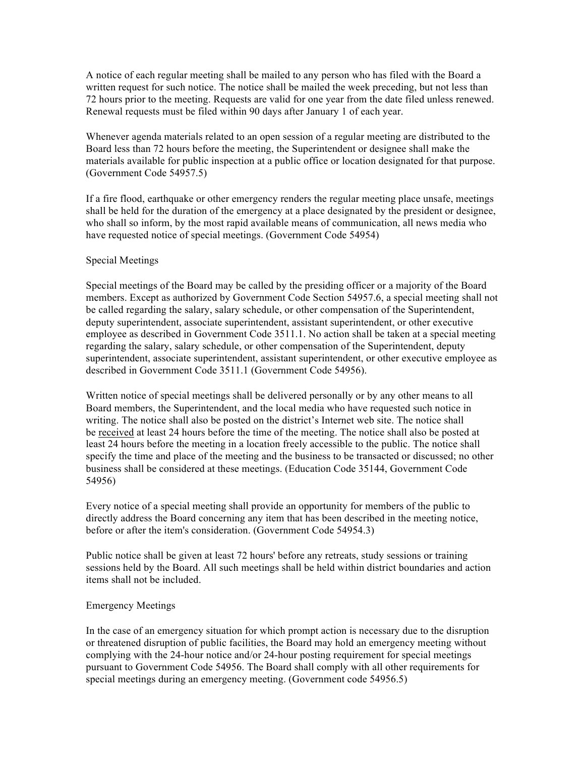A notice of each regular meeting shall be mailed to any person who has filed with the Board a written request for such notice. The notice shall be mailed the week preceding, but not less than 72 hours prior to the meeting. Requests are valid for one year from the date filed unless renewed. Renewal requests must be filed within 90 days after January 1 of each year.

Whenever agenda materials related to an open session of a regular meeting are distributed to the Board less than 72 hours before the meeting, the Superintendent or designee shall make the materials available for public inspection at a public office or location designated for that purpose. (Government Code 54957.5)

If a fire flood, earthquake or other emergency renders the regular meeting place unsafe, meetings shall be held for the duration of the emergency at a place designated by the president or designee, who shall so inform, by the most rapid available means of communication, all news media who have requested notice of special meetings. (Government Code 54954)

#### Special Meetings

Special meetings of the Board may be called by the presiding officer or a majority of the Board members. Except as authorized by Government Code Section 54957.6, a special meeting shall not be called regarding the salary, salary schedule, or other compensation of the Superintendent, deputy superintendent, associate superintendent, assistant superintendent, or other executive employee as described in Government Code 3511.1. No action shall be taken at a special meeting regarding the salary, salary schedule, or other compensation of the Superintendent, deputy superintendent, associate superintendent, assistant superintendent, or other executive employee as described in Government Code 3511.1 (Government Code 54956).

Written notice of special meetings shall be delivered personally or by any other means to all Board members, the Superintendent, and the local media who have requested such notice in writing. The notice shall also be posted on the district's Internet web site. The notice shall be received at least 24 hours before the time of the meeting. The notice shall also be posted at least 24 hours before the meeting in a location freely accessible to the public. The notice shall specify the time and place of the meeting and the business to be transacted or discussed; no other business shall be considered at these meetings. (Education Code 35144, Government Code 54956)

Every notice of a special meeting shall provide an opportunity for members of the public to directly address the Board concerning any item that has been described in the meeting notice, before or after the item's consideration. (Government Code 54954.3)

Public notice shall be given at least 72 hours' before any retreats, study sessions or training sessions held by the Board. All such meetings shall be held within district boundaries and action items shall not be included.

#### Emergency Meetings

In the case of an emergency situation for which prompt action is necessary due to the disruption or threatened disruption of public facilities, the Board may hold an emergency meeting without complying with the 24-hour notice and/or 24-hour posting requirement for special meetings pursuant to Government Code 54956. The Board shall comply with all other requirements for special meetings during an emergency meeting. (Government code 54956.5)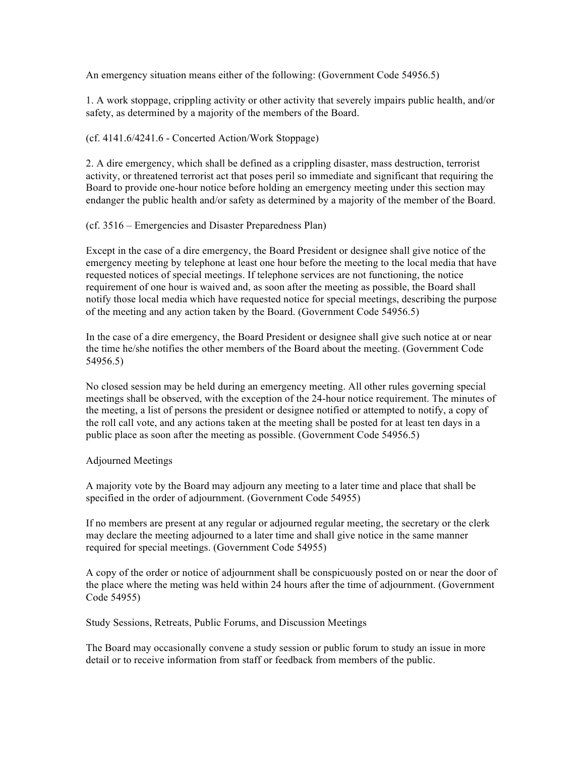An emergency situation means either of the following: (Government Code 54956.5)

1. A work stoppage, crippling activity or other activity that severely impairs public health, and/or safety, as determined by a majority of the members of the Board.

#### (cf. 4141.6/4241.6 - Concerted Action/Work Stoppage)

2. A dire emergency, which shall be defined as a crippling disaster, mass destruction, terrorist activity, or threatened terrorist act that poses peril so immediate and significant that requiring the Board to provide one-hour notice before holding an emergency meeting under this section may endanger the public health and/or safety as determined by a majority of the member of the Board.

#### (cf. 3516 – Emergencies and Disaster Preparedness Plan)

Except in the case of a dire emergency, the Board President or designee shall give notice of the emergency meeting by telephone at least one hour before the meeting to the local media that have requested notices of special meetings. If telephone services are not functioning, the notice requirement of one hour is waived and, as soon after the meeting as possible, the Board shall notify those local media which have requested notice for special meetings, describing the purpose of the meeting and any action taken by the Board. (Government Code 54956.5)

In the case of a dire emergency, the Board President or designee shall give such notice at or near the time he/she notifies the other members of the Board about the meeting. (Government Code 54956.5)

No closed session may be held during an emergency meeting. All other rules governing special meetings shall be observed, with the exception of the 24-hour notice requirement. The minutes of the meeting, a list of persons the president or designee notified or attempted to notify, a copy of the roll call vote, and any actions taken at the meeting shall be posted for at least ten days in a public place as soon after the meeting as possible. (Government Code 54956.5)

### Adjourned Meetings

A majority vote by the Board may adjourn any meeting to a later time and place that shall be specified in the order of adjournment. (Government Code 54955)

If no members are present at any regular or adjourned regular meeting, the secretary or the clerk may declare the meeting adjourned to a later time and shall give notice in the same manner required for special meetings. (Government Code 54955)

A copy of the order or notice of adjournment shall be conspicuously posted on or near the door of the place where the meting was held within 24 hours after the time of adjournment. (Government Code 54955)

Study Sessions, Retreats, Public Forums, and Discussion Meetings

The Board may occasionally convene a study session or public forum to study an issue in more detail or to receive information from staff or feedback from members of the public.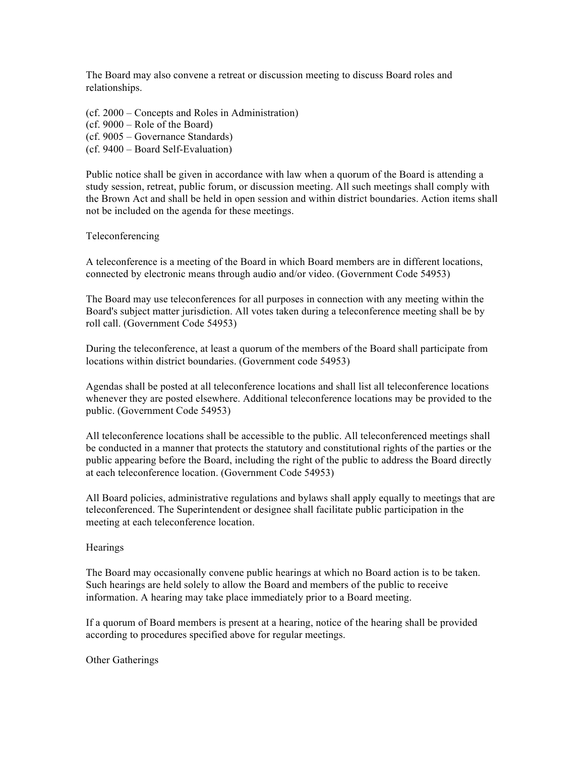The Board may also convene a retreat or discussion meeting to discuss Board roles and relationships.

(cf. 2000 – Concepts and Roles in Administration)

(cf. 9000 – Role of the Board)

(cf. 9005 – Governance Standards)

(cf. 9400 – Board Self-Evaluation)

Public notice shall be given in accordance with law when a quorum of the Board is attending a study session, retreat, public forum, or discussion meeting. All such meetings shall comply with the Brown Act and shall be held in open session and within district boundaries. Action items shall not be included on the agenda for these meetings.

## Teleconferencing

A teleconference is a meeting of the Board in which Board members are in different locations, connected by electronic means through audio and/or video. (Government Code 54953)

The Board may use teleconferences for all purposes in connection with any meeting within the Board's subject matter jurisdiction. All votes taken during a teleconference meeting shall be by roll call. (Government Code 54953)

During the teleconference, at least a quorum of the members of the Board shall participate from locations within district boundaries. (Government code 54953)

Agendas shall be posted at all teleconference locations and shall list all teleconference locations whenever they are posted elsewhere. Additional teleconference locations may be provided to the public. (Government Code 54953)

All teleconference locations shall be accessible to the public. All teleconferenced meetings shall be conducted in a manner that protects the statutory and constitutional rights of the parties or the public appearing before the Board, including the right of the public to address the Board directly at each teleconference location. (Government Code 54953)

All Board policies, administrative regulations and bylaws shall apply equally to meetings that are teleconferenced. The Superintendent or designee shall facilitate public participation in the meeting at each teleconference location.

### **Hearings**

The Board may occasionally convene public hearings at which no Board action is to be taken. Such hearings are held solely to allow the Board and members of the public to receive information. A hearing may take place immediately prior to a Board meeting.

If a quorum of Board members is present at a hearing, notice of the hearing shall be provided according to procedures specified above for regular meetings.

Other Gatherings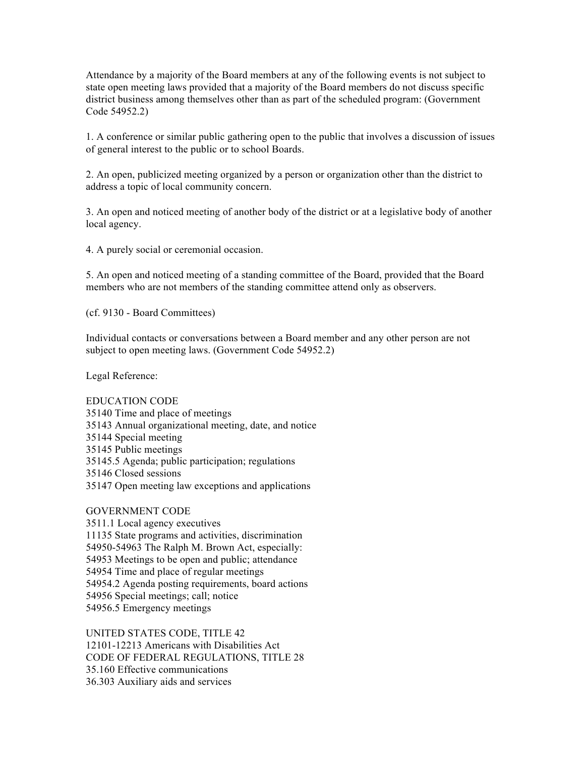Attendance by a majority of the Board members at any of the following events is not subject to state open meeting laws provided that a majority of the Board members do not discuss specific district business among themselves other than as part of the scheduled program: (Government Code 54952.2)

1. A conference or similar public gathering open to the public that involves a discussion of issues of general interest to the public or to school Boards.

2. An open, publicized meeting organized by a person or organization other than the district to address a topic of local community concern.

3. An open and noticed meeting of another body of the district or at a legislative body of another local agency.

4. A purely social or ceremonial occasion.

5. An open and noticed meeting of a standing committee of the Board, provided that the Board members who are not members of the standing committee attend only as observers.

(cf. 9130 - Board Committees)

Individual contacts or conversations between a Board member and any other person are not subject to open meeting laws. (Government Code 54952.2)

Legal Reference:

EDUCATION CODE 35140 Time and place of meetings 35143 Annual organizational meeting, date, and notice 35144 Special meeting 35145 Public meetings 35145.5 Agenda; public participation; regulations 35146 Closed sessions 35147 Open meeting law exceptions and applications

### GOVERNMENT CODE

3511.1 Local agency executives 11135 State programs and activities, discrimination 54950-54963 The Ralph M. Brown Act, especially: 54953 Meetings to be open and public; attendance 54954 Time and place of regular meetings 54954.2 Agenda posting requirements, board actions 54956 Special meetings; call; notice 54956.5 Emergency meetings

UNITED STATES CODE, TITLE 42 12101-12213 Americans with Disabilities Act CODE OF FEDERAL REGULATIONS, TITLE 28 35.160 Effective communications 36.303 Auxiliary aids and services